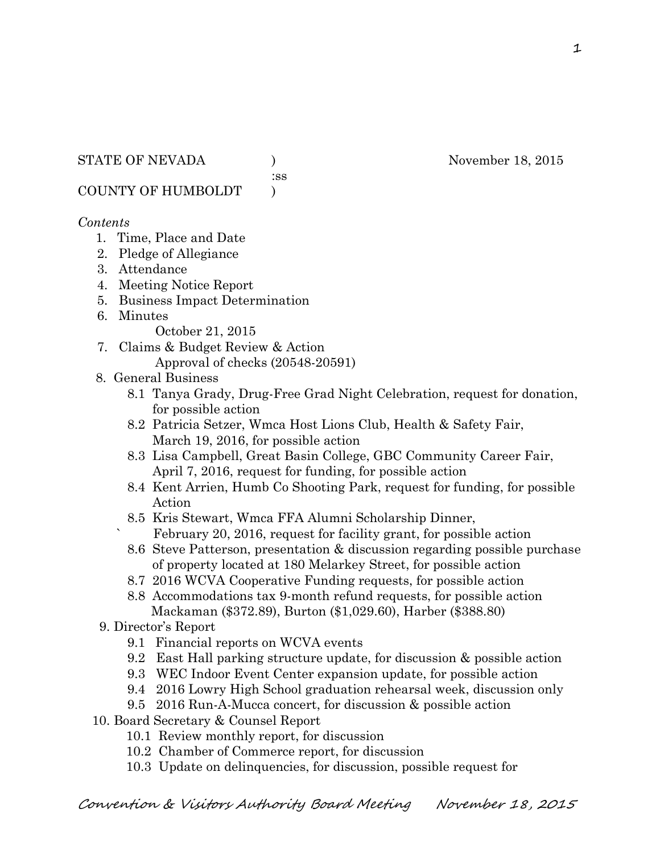:ss

COUNTY OF HUMBOLDT )

### *Contents*

- 1. Time, Place and Date
- 2. Pledge of Allegiance
- 3. Attendance
- 4. Meeting Notice Report
- 5. Business Impact Determination
- 6. Minutes

October 21, 2015

- 7. Claims & Budget Review & Action Approval of checks (20548-20591)
- 8. General Business
	- 8.1 Tanya Grady, Drug-Free Grad Night Celebration, request for donation, for possible action
	- 8.2 Patricia Setzer, Wmca Host Lions Club, Health & Safety Fair, March 19, 2016, for possible action
	- 8.3 Lisa Campbell, Great Basin College, GBC Community Career Fair, April 7, 2016, request for funding, for possible action
	- 8.4 Kent Arrien, Humb Co Shooting Park, request for funding, for possible Action
	- 8.5 Kris Stewart, Wmca FFA Alumni Scholarship Dinner, February 20, 2016, request for facility grant, for possible action
	- 8.6 Steve Patterson, presentation & discussion regarding possible purchase of property located at 180 Melarkey Street, for possible action
	- 8.7 2016 WCVA Cooperative Funding requests, for possible action
	- 8.8 Accommodations tax 9-month refund requests, for possible action Mackaman (\$372.89), Burton (\$1,029.60), Harber (\$388.80)
- 9. Director's Report
	- 9.1 Financial reports on WCVA events
	- 9.2 East Hall parking structure update, for discussion & possible action
	- 9.3 WEC Indoor Event Center expansion update, for possible action
	- 9.4 2016 Lowry High School graduation rehearsal week, discussion only
	- 9.5 2016 Run-A-Mucca concert, for discussion & possible action
- 10. Board Secretary & Counsel Report
	- 10.1 Review monthly report, for discussion
	- 10.2 Chamber of Commerce report, for discussion
	- 10.3 Update on delinquencies, for discussion, possible request for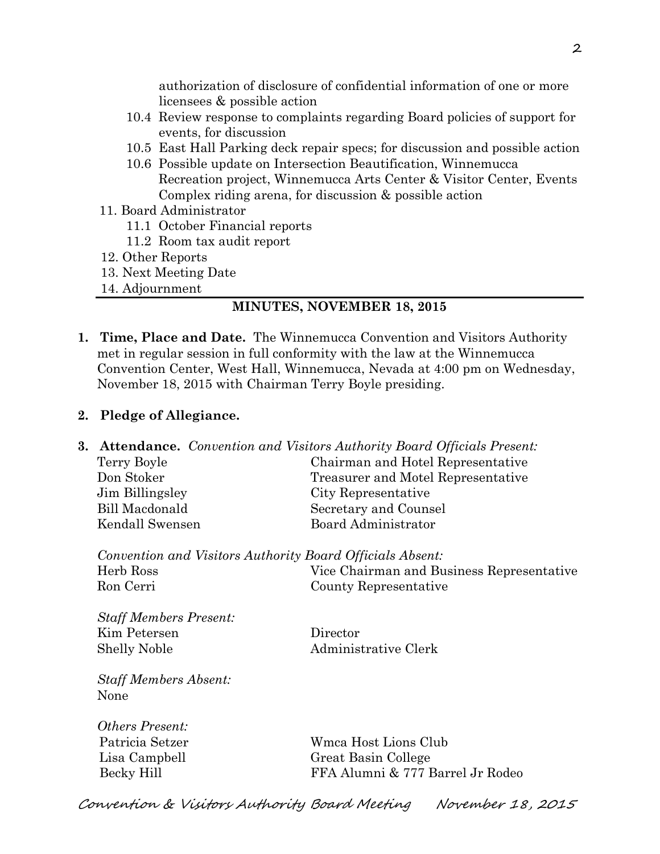authorization of disclosure of confidential information of one or more licensees & possible action

- 10.4 Review response to complaints regarding Board policies of support for events, for discussion
- 10.5 East Hall Parking deck repair specs; for discussion and possible action
- 10.6 Possible update on Intersection Beautification, Winnemucca Recreation project, Winnemucca Arts Center & Visitor Center, Events Complex riding arena, for discussion & possible action
- 11. Board Administrator
	- 11.1 October Financial reports
	- 11.2 Room tax audit report
- 12. Other Reports
- 13. Next Meeting Date
- 14. Adjournment

#### **MINUTES, NOVEMBER 18, 2015**

**1. Time, Place and Date.** The Winnemucca Convention and Visitors Authority met in regular session in full conformity with the law at the Winnemucca Convention Center, West Hall, Winnemucca, Nevada at 4:00 pm on Wednesday, November 18, 2015 with Chairman Terry Boyle presiding.

#### **2. Pledge of Allegiance.**

**3. Attendance.** *Convention and Visitors Authority Board Officials Present:*  Terry Boyle Chairman and Hotel Representative Don Stoker Treasurer and Motel Representative Jim Billingsley City Representative Bill Macdonald Secretary and Counsel Kendall Swensen Board Administrator

*Convention and Visitors Authority Board Officials Absent:*  Herb Ross Vice Chairman and Business Representative Ron Cerri County Representative

*Staff Members Present:*  Kim Petersen Director Shelly Noble Administrative Clerk

*Staff Members Absent:*  None

*Others Present:* 

 Patricia Setzer Wmca Host Lions Club Lisa Campbell Great Basin College Becky Hill FFA Alumni & 777 Barrel Jr Rodeo

Convention & Visitors Authority Board Meeting November 18, 2015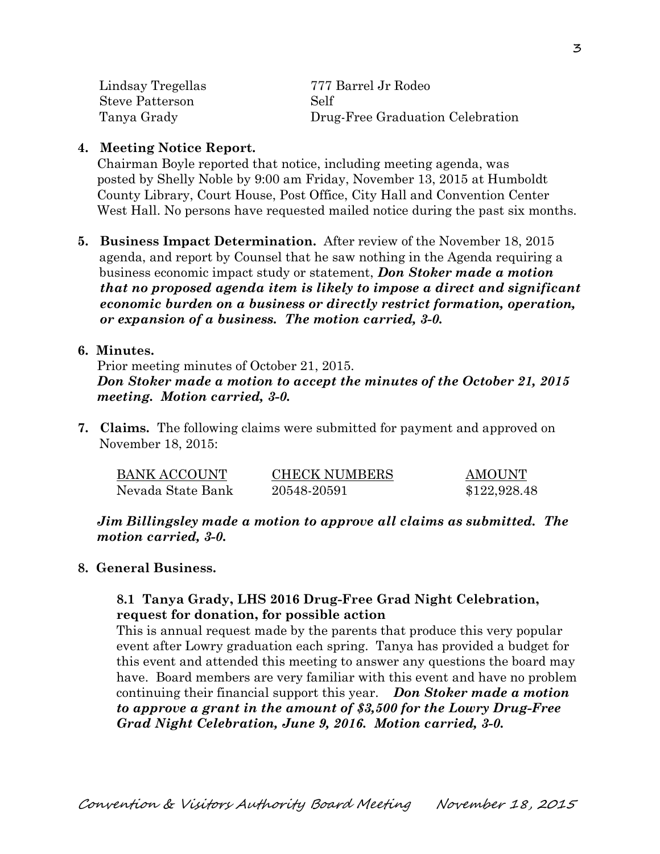| Lindsay Tregellas      | 777 Barrel Jr Rodeo              |  |
|------------------------|----------------------------------|--|
| <b>Steve Patterson</b> | Self                             |  |
| Tanya Grady            | Drug-Free Graduation Celebration |  |

## **4. Meeting Notice Report.**

Chairman Boyle reported that notice, including meeting agenda, was posted by Shelly Noble by 9:00 am Friday, November 13, 2015 at Humboldt County Library, Court House, Post Office, City Hall and Convention Center West Hall. No persons have requested mailed notice during the past six months.

**5. Business Impact Determination.** After review of the November 18, 2015 agenda, and report by Counsel that he saw nothing in the Agenda requiring a business economic impact study or statement, *Don Stoker made a motion that no proposed agenda item is likely to impose a direct and significant economic burden on a business or directly restrict formation, operation, or expansion of a business. The motion carried, 3-0.* 

### **6. Minutes.**

Prior meeting minutes of October 21, 2015. *Don Stoker made a motion to accept the minutes of the October 21, 2015 meeting. Motion carried, 3-0.* 

**7. Claims.** The following claims were submitted for payment and approved on November 18, 2015:

| <b>BANK ACCOUNT</b> | <b>CHECK NUMBERS</b> | <b>AMOUNT</b> |
|---------------------|----------------------|---------------|
| Nevada State Bank   | 20548-20591          | \$122,928.48  |

*Jim Billingsley made a motion to approve all claims as submitted. The motion carried, 3-0.* 

# **8. General Business.**

## **8.1 Tanya Grady, LHS 2016 Drug-Free Grad Night Celebration, request for donation, for possible action**

This is annual request made by the parents that produce this very popular event after Lowry graduation each spring. Tanya has provided a budget for this event and attended this meeting to answer any questions the board may have. Board members are very familiar with this event and have no problem continuing their financial support this year. *Don Stoker made a motion to approve a grant in the amount of \$3,500 for the Lowry Drug-Free Grad Night Celebration, June 9, 2016. Motion carried, 3-0.*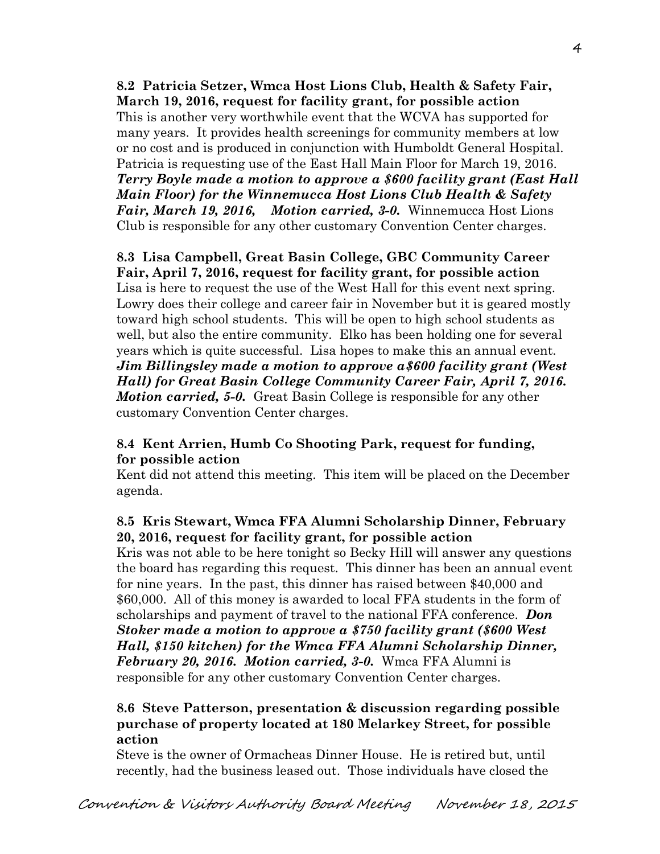**8.2 Patricia Setzer, Wmca Host Lions Club, Health & Safety Fair, March 19, 2016, request for facility grant, for possible action**  This is another very worthwhile event that the WCVA has supported for many years. It provides health screenings for community members at low or no cost and is produced in conjunction with Humboldt General Hospital. Patricia is requesting use of the East Hall Main Floor for March 19, 2016. *Terry Boyle made a motion to approve a \$600 facility grant (East Hall Main Floor) for the Winnemucca Host Lions Club Health & Safety Fair, March 19, 2016, Motion carried, 3-0.* Winnemucca Host Lions Club is responsible for any other customary Convention Center charges.

## **8.3 Lisa Campbell, Great Basin College, GBC Community Career Fair, April 7, 2016, request for facility grant, for possible action**  Lisa is here to request the use of the West Hall for this event next spring. Lowry does their college and career fair in November but it is geared mostly toward high school students. This will be open to high school students as well, but also the entire community. Elko has been holding one for several years which is quite successful. Lisa hopes to make this an annual event. *Jim Billingsley made a motion to approve a\$600 facility grant (West Hall) for Great Basin College Community Career Fair, April 7, 2016. Motion carried, 5-0.* Great Basin College is responsible for any other customary Convention Center charges.

## **8.4 Kent Arrien, Humb Co Shooting Park, request for funding, for possible action**

Kent did not attend this meeting. This item will be placed on the December agenda.

# **8.5 Kris Stewart, Wmca FFA Alumni Scholarship Dinner, February 20, 2016, request for facility grant, for possible action**

Kris was not able to be here tonight so Becky Hill will answer any questions the board has regarding this request. This dinner has been an annual event for nine years. In the past, this dinner has raised between \$40,000 and \$60,000. All of this money is awarded to local FFA students in the form of scholarships and payment of travel to the national FFA conference. *Don Stoker made a motion to approve a \$750 facility grant (\$600 West Hall, \$150 kitchen) for the Wmca FFA Alumni Scholarship Dinner, February 20, 2016. Motion carried, 3-0.* Wmca FFA Alumni is responsible for any other customary Convention Center charges.

# **8.6 Steve Patterson, presentation & discussion regarding possible purchase of property located at 180 Melarkey Street, for possible action**

Steve is the owner of Ormacheas Dinner House. He is retired but, until recently, had the business leased out. Those individuals have closed the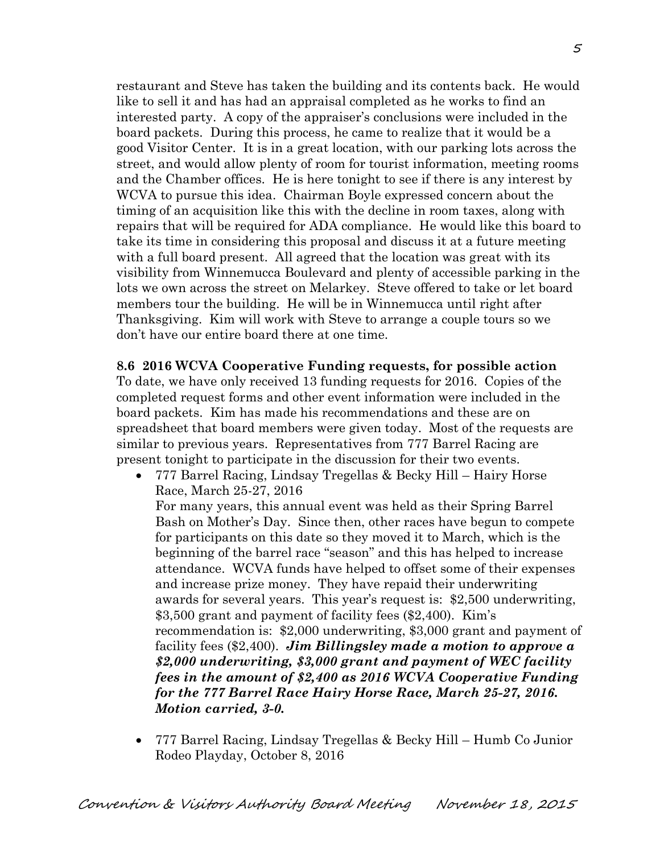restaurant and Steve has taken the building and its contents back. He would like to sell it and has had an appraisal completed as he works to find an interested party. A copy of the appraiser's conclusions were included in the board packets. During this process, he came to realize that it would be a good Visitor Center. It is in a great location, with our parking lots across the street, and would allow plenty of room for tourist information, meeting rooms and the Chamber offices. He is here tonight to see if there is any interest by WCVA to pursue this idea. Chairman Boyle expressed concern about the timing of an acquisition like this with the decline in room taxes, along with repairs that will be required for ADA compliance. He would like this board to take its time in considering this proposal and discuss it at a future meeting with a full board present. All agreed that the location was great with its visibility from Winnemucca Boulevard and plenty of accessible parking in the lots we own across the street on Melarkey. Steve offered to take or let board members tour the building. He will be in Winnemucca until right after Thanksgiving. Kim will work with Steve to arrange a couple tours so we don't have our entire board there at one time.

**8.6 2016 WCVA Cooperative Funding requests, for possible action**  To date, we have only received 13 funding requests for 2016. Copies of the completed request forms and other event information were included in the board packets. Kim has made his recommendations and these are on spreadsheet that board members were given today. Most of the requests are similar to previous years. Representatives from 777 Barrel Racing are present tonight to participate in the discussion for their two events.

- 777 Barrel Racing, Lindsay Tregellas & Becky Hill Hairy Horse Race, March 25-27, 2016 For many years, this annual event was held as their Spring Barrel Bash on Mother's Day. Since then, other races have begun to compete for participants on this date so they moved it to March, which is the beginning of the barrel race "season" and this has helped to increase attendance. WCVA funds have helped to offset some of their expenses and increase prize money. They have repaid their underwriting awards for several years. This year's request is: \$2,500 underwriting, \$3,500 grant and payment of facility fees (\$2,400). Kim's recommendation is: \$2,000 underwriting, \$3,000 grant and payment of facility fees (\$2,400). *Jim Billingsley made a motion to approve a \$2,000 underwriting, \$3,000 grant and payment of WEC facility fees in the amount of \$2,400 as 2016 WCVA Cooperative Funding for the 777 Barrel Race Hairy Horse Race, March 25-27, 2016. Motion carried, 3-0.*
- 777 Barrel Racing, Lindsay Tregellas & Becky Hill Humb Co Junior Rodeo Playday, October 8, 2016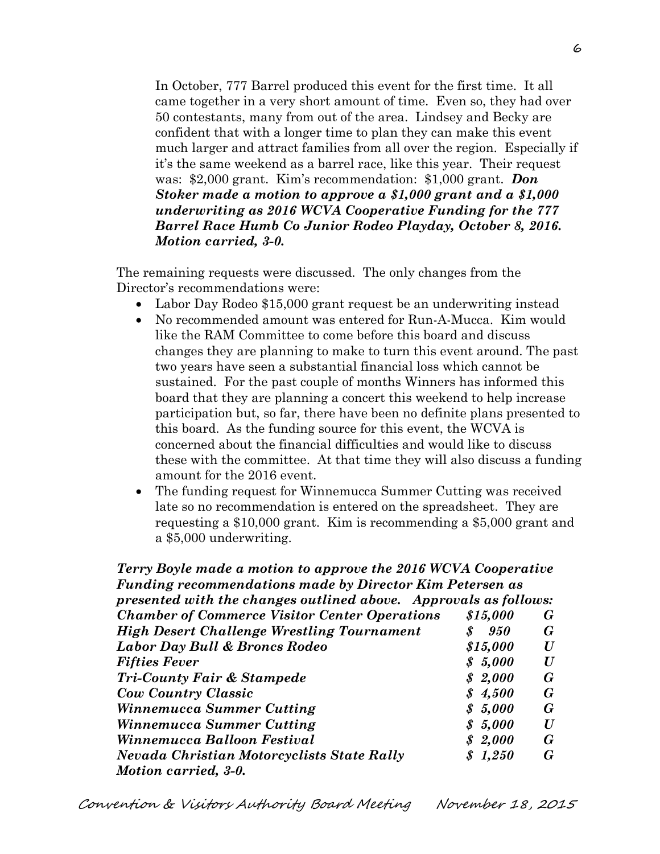In October, 777 Barrel produced this event for the first time. It all came together in a very short amount of time. Even so, they had over 50 contestants, many from out of the area. Lindsey and Becky are confident that with a longer time to plan they can make this event much larger and attract families from all over the region. Especially if it's the same weekend as a barrel race, like this year. Their request was: \$2,000 grant. Kim's recommendation: \$1,000 grant. *Don Stoker made a motion to approve a \$1,000 grant and a \$1,000 underwriting as 2016 WCVA Cooperative Funding for the 777 Barrel Race Humb Co Junior Rodeo Playday, October 8, 2016. Motion carried, 3-0.*

 The remaining requests were discussed. The only changes from the Director's recommendations were:

- Labor Day Rodeo \$15,000 grant request be an underwriting instead
- No recommended amount was entered for Run-A-Mucca. Kim would like the RAM Committee to come before this board and discuss changes they are planning to make to turn this event around. The past two years have seen a substantial financial loss which cannot be sustained. For the past couple of months Winners has informed this board that they are planning a concert this weekend to help increase participation but, so far, there have been no definite plans presented to this board. As the funding source for this event, the WCVA is concerned about the financial difficulties and would like to discuss these with the committee. At that time they will also discuss a funding amount for the 2016 event.
- The funding request for Winnemucca Summer Cutting was received late so no recommendation is entered on the spreadsheet. They are requesting a \$10,000 grant. Kim is recommending a \$5,000 grant and a \$5,000 underwriting.

## *Terry Boyle made a motion to approve the 2016 WCVA Cooperative Funding recommendations made by Director Kim Petersen as presented with the changes outlined above. Approvals as follows: Chamber of Commerce Visitor Center Operations \$15,000 G High Desert Challenge Wrestling Tournament \$ 950 G Labor Day Bull & Broncs Rodeo \$15,000 U Fifties Fever \$ 5,000 U Tri-County Fair & Stampede \$ 2,000 G Cow Country Classic \$ 4,500 G Winnemucca Summer Cutting \$ 5,000 G Winnemucca Summer Cutting \$ 5,000 U Winnemucca Balloon Festival \$ 2,000 G Nevada Christian Motorcyclists State Rally \$ 1,250 G Motion carried, 3-0.*

Convention & Visitors Authority Board Meeting November 18, 2015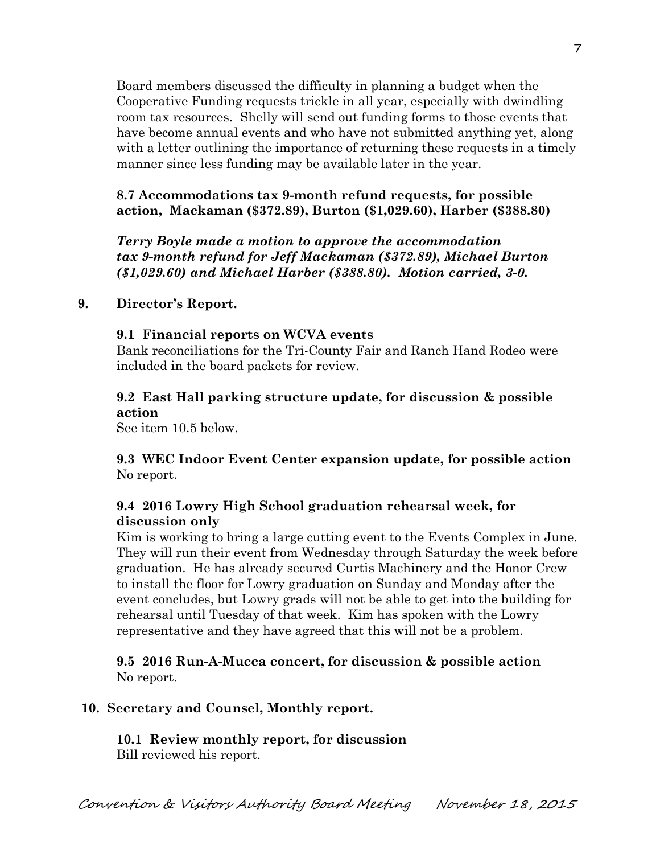Board members discussed the difficulty in planning a budget when the Cooperative Funding requests trickle in all year, especially with dwindling room tax resources. Shelly will send out funding forms to those events that have become annual events and who have not submitted anything yet, along with a letter outlining the importance of returning these requests in a timely manner since less funding may be available later in the year.

**8.7 Accommodations tax 9-month refund requests, for possible action, Mackaman (\$372.89), Burton (\$1,029.60), Harber (\$388.80)** 

*Terry Boyle made a motion to approve the accommodation tax 9-month refund for Jeff Mackaman (\$372.89), Michael Burton (\$1,029.60) and Michael Harber (\$388.80). Motion carried, 3-0.*

### **9. Director's Report.**

#### **9.1 Financial reports on WCVA events**

Bank reconciliations for the Tri-County Fair and Ranch Hand Rodeo were included in the board packets for review.

# **9.2 East Hall parking structure update, for discussion & possible action**

See item 10.5 below.

**9.3 WEC Indoor Event Center expansion update, for possible action**  No report.

### **9.4 2016 Lowry High School graduation rehearsal week, for discussion only**

Kim is working to bring a large cutting event to the Events Complex in June. They will run their event from Wednesday through Saturday the week before graduation. He has already secured Curtis Machinery and the Honor Crew to install the floor for Lowry graduation on Sunday and Monday after the event concludes, but Lowry grads will not be able to get into the building for rehearsal until Tuesday of that week. Kim has spoken with the Lowry representative and they have agreed that this will not be a problem.

**9.5 2016 Run-A-Mucca concert, for discussion & possible action**  No report.

#### **10. Secretary and Counsel, Monthly report.**

**10.1 Review monthly report, for discussion**  Bill reviewed his report.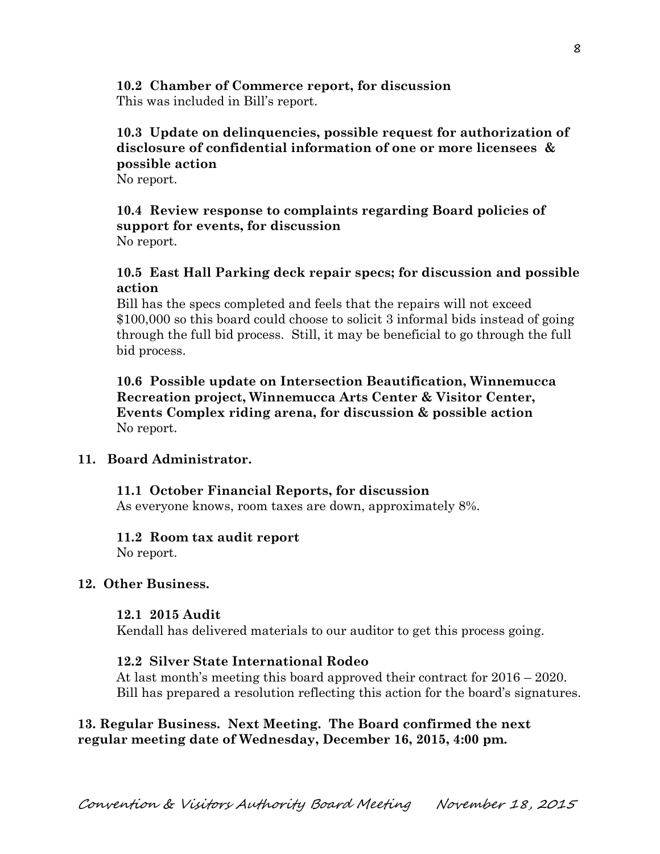#### **10.2 Chamber of Commerce report, for discussion**  This was included in Bill's report.

# **10.3 Update on delinquencies, possible request for authorization of disclosure of confidential information of one or more licensees & possible action**

No report.

#### **10.4 Review response to complaints regarding Board policies of support for events, for discussion**  No report.

## **10.5 East Hall Parking deck repair specs; for discussion and possible action**

Bill has the specs completed and feels that the repairs will not exceed \$100,000 so this board could choose to solicit 3 informal bids instead of going through the full bid process. Still, it may be beneficial to go through the full bid process.

**10.6 Possible update on Intersection Beautification, Winnemucca Recreation project, Winnemucca Arts Center & Visitor Center, Events Complex riding arena, for discussion & possible action**  No report.

# **11. Board Administrator.**

# **11.1 October Financial Reports, for discussion**

As everyone knows, room taxes are down, approximately 8%.

### **11.2 Room tax audit report**

No report.

### **12. Other Business.**

### **12.1 2015 Audit**

Kendall has delivered materials to our auditor to get this process going.

### **12.2 Silver State International Rodeo**

At last month's meeting this board approved their contract for 2016 – 2020. Bill has prepared a resolution reflecting this action for the board's signatures.

# **13. Regular Business. Next Meeting. The Board confirmed the next regular meeting date of Wednesday, December 16, 2015, 4:00 pm.**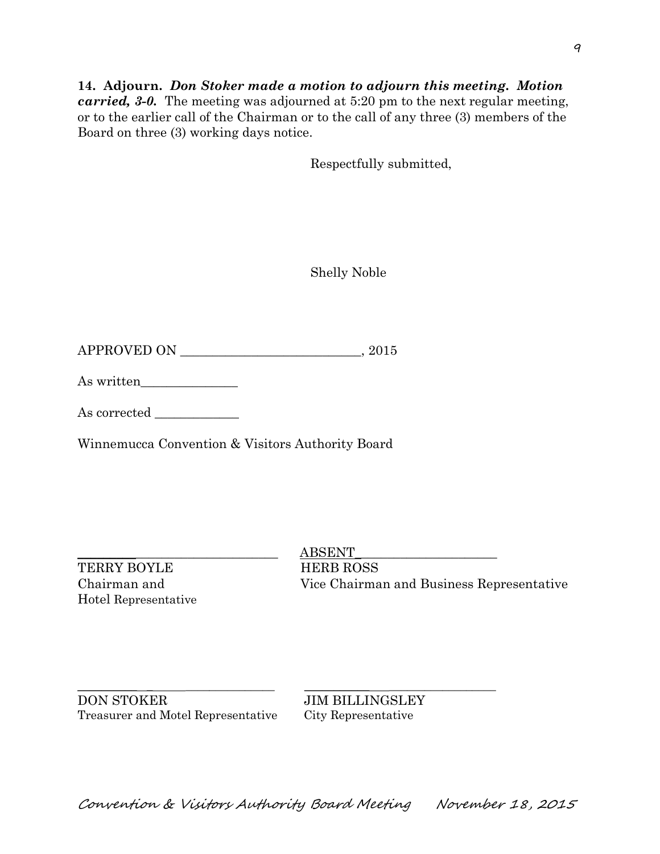## **14. Adjourn.** *Don Stoker made a motion to adjourn this meeting. Motion carried, 3-0.* The meeting was adjourned at 5:20 pm to the next regular meeting, or to the earlier call of the Chairman or to the call of any three (3) members of the Board on three (3) working days notice.

Respectfully submitted,

Shelly Noble

 $\begin{tabular}{c} \bf APPROVED ON \end{tabular} \begin{tabular}{c} \begin{tabular}{c} \multicolumn{1}{c}{} \multicolumn{1}{c}{} \multicolumn{1}{c}{} \multicolumn{1}{c}{} \multicolumn{1}{c}{} \multicolumn{1}{c}{} \multicolumn{1}{c}{} \multicolumn{1}{c}{} \multicolumn{1}{c}{} \multicolumn{1}{c}{} \multicolumn{1}{c}{} \multicolumn{1}{c}{} \multicolumn{1}{c}{} \multicolumn{1}{c}{} \multicolumn{1}{c}{} \multicolumn{1}{c}{} \multicolumn{1}{c}{} \multicolumn{1}{c}{} \multicolumn$ 

As written\_\_\_\_\_\_\_\_\_\_\_\_\_\_\_

As corrected \_\_\_\_\_\_\_\_\_\_\_\_\_

Winnemucca Convention & Visitors Authority Board

TERRY BOYLE HERB ROSS Hotel Representative

 $ABSENT$ Chairman and Vice Chairman and Business Representative

\_\_\_\_\_\_\_\_\_\_ \_ \_\_\_\_\_\_\_\_\_\_\_\_\_\_\_ \_\_\_\_\_\_\_\_\_\_\_ \_\_\_\_\_\_\_\_\_\_\_\_\_\_\_\_\_\_ DON STOKER JIM BILLINGSLEY Treasurer and Motel Representative City Representative